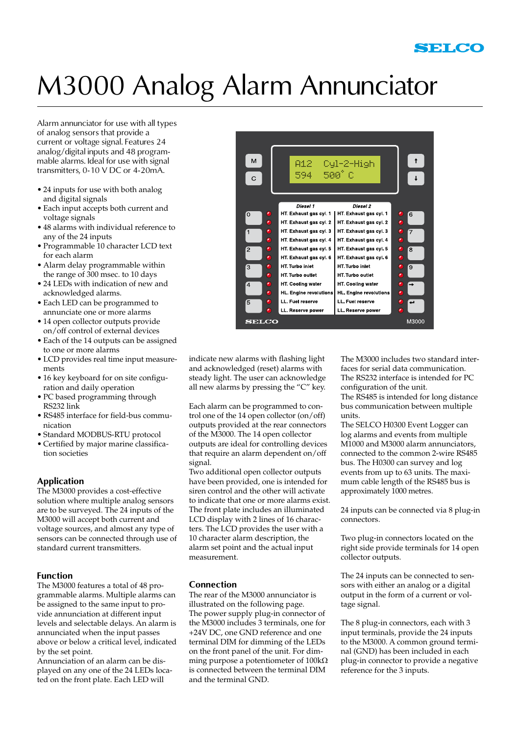# M3000 Analog Alarm Annunciator

Alarm annunciator for use with all types of analog sensors that provide a current or voltage signal. Features 24 analog/digital inputs and 48 programmable alarms. Ideal for use with signal transmitters, 0-10 V DC or 4-20mA.

- 24 inputs for use with both analog and digital signals
- • Each input accepts both current and voltage signals
- • 48 alarms with individual reference to any of the 24 inputs
- • Programmable 10 character LCD text for each alarm
- • Alarm delay programmable within the range of 300 msec. to 10 days
- 24 LEDs with indication of new and acknowledged alarms.
- Each LED can be programmed to annunciate one or more alarms
- 14 open collector outputs provide on/off control of external devices
- Each of the 14 outputs can be assigned to one or more alarms
- • LCD provides real time input measurements
- 16 key keyboard for on site configuration and daily operation
- • PC based programming through RS232 link
- • RS485 interface for field-bus communication
- • Standard MODBUS-RTU protocol
- • Certified by major marine classification societies

# **Application**

The M3000 provides a cost-effective solution where multiple analog sensors are to be surveyed. The 24 inputs of the M3000 will accept both current and voltage sources, and almost any type of sensors can be connected through use of standard current transmitters.

# **Function**

The M3000 features a total of 48 programmable alarms. Multiple alarms can be assigned to the same input to provide annunciation at different input levels and selectable delays. An alarm is annunciated when the input passes above or below a critical level, indicated by the set point.

Annunciation of an alarm can be displayed on any one of the 24 LEDs located on the front plate. Each LED will



indicate new alarms with flashing light and acknowledged (reset) alarms with steady light. The user can acknowledge all new alarms by pressing the "C" key.

Each alarm can be programmed to control one of the 14 open collector (on/off) outputs provided at the rear connectors of the M3000. The 14 open collector outputs are ideal for controlling devices that require an alarm dependent on/off signal.

Two additional open collector outputs have been provided, one is intended for siren control and the other will activate to indicate that one or more alarms exist. The front plate includes an illuminated LCD display with 2 lines of 16 characters. The LCD provides the user with a 10 character alarm description, the alarm set point and the actual input measurement.

# **Connection**

The rear of the M3000 annunciator is illustrated on the following page. The power supply plug-in connector of the M3000 includes 3 terminals, one for +24V DC, one GND reference and one terminal DIM for dimming of the LEDs on the front panel of the unit. For dimming purpose a potentiometer of 100kΩ is connected between the terminal DIM and the terminal GND.

The M3000 includes two standard interfaces for serial data communication. The RS232 interface is intended for PC configuration of the unit.

The RS485 is intended for long distance bus communication between multiple units.

The SELCO H0300 Event Logger can log alarms and events from multiple M1000 and M3000 alarm annunciators, connected to the common 2-wire RS485 bus. The H0300 can survey and log events from up to 63 units. The maximum cable length of the RS485 bus is approximately 1000 metres.

24 inputs can be connected via 8 plug-in connectors.

Two plug-in connectors located on the right side provide terminals for 14 open collector outputs.

The 24 inputs can be connected to sensors with either an analog or a digital output in the form of a current or voltage signal.

The 8 plug-in connectors, each with 3 input terminals, provide the 24 inputs to the M3000. A common ground terminal (GND) has been included in each plug-in connector to provide a negative reference for the 3 inputs.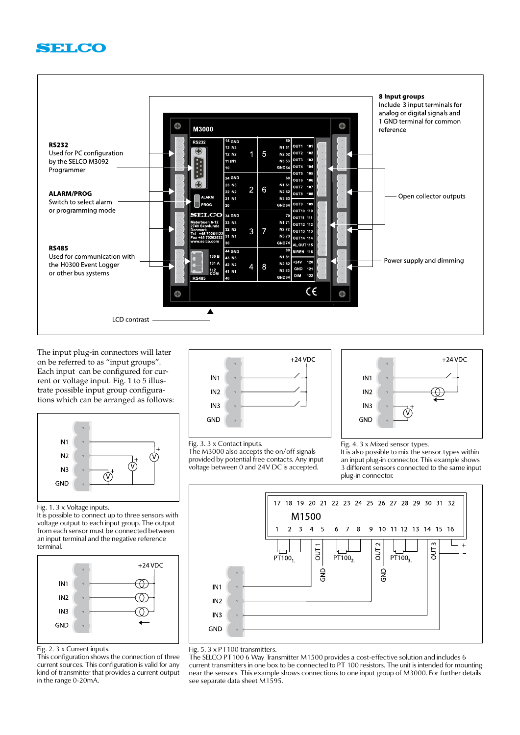



The input plug-in connectors will later on be referred to as "input groups". Each input can be configured for current or voltage input. Fig. 1 to 5 illustrate possible input group configurations which can be arranged as follows:



Fig. 1. 3 x Voltage inputs.

It is possible to connect up to three sensors with voltage output to each input group. The output from each sensor must be connected between an input terminal and the negative reference terminal.



Fig. 2. 3 x Current inputs.

This configuration shows the connection of three current sources. This configuration is valid for any kind of transmitter that provides a current output in the range 0-20mA.



Fig. 3. 3 x Contact inputs.

The M3000 also accepts the on/off signals provided by potential free contacts. Any input voltage between 0 and 24V DC is accepted.

 $+24$  VDC IN<sub>1</sub>  $N<sub>2</sub>$ IN<sub>3</sub>  $\widehat{\mathsf{v}}$ **GND** 

Fig. 4. 3 x Mixed sensor types.

It is also possible to mix the sensor types within an input plug-in connector. This example shows 3 different sensors connected to the same input plug-in connector.



Fig. 5. 3 x PT100 transmitters.

The SELCO PT100 6 Way Transmitter M1500 provides a cost-effective solution and includes 6 current transmitters in one box to be connected to PT 100 resistors. The unit is intended for mounting near the sensors. This example shows connections to one input group of M3000. For further details see separate data sheet M1595.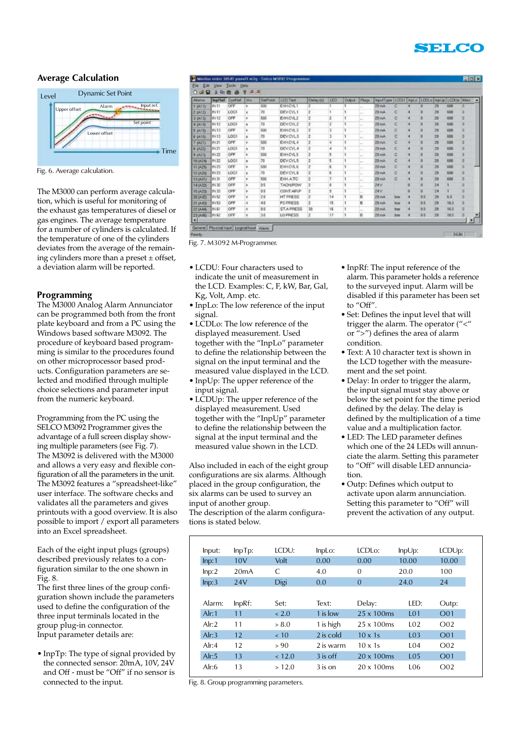

### **Average Calculation**



Fig. 6. Average calculation.

The M3000 can perform average calculation, which is useful for monitoring of the exhaust gas temperatures of diesel or gas engines. The average temperature for a number of cylinders is calculated. If the temperature of one of the cylinders deviates from the average of the remaining cylinders more than a preset  $\pm$  offset, a deviation alarm will be reported.

#### **Programming**

The M3000 Analog Alarm Annunciator can be programmed both from the front plate keyboard and from a PC using the Windows based software M3092. The procedure of keyboard based programming is similar to the procedures found on other microprocessor based products. Configuration parameters are selected and modified through multiple choice selections and parameter input from the numeric keyboard.

Programming from the PC using the SELCO M3092 Programmer gives the advantage of a full screen display showing multiple parameters (see Fig. 7). The M3092 is delivered with the M3000 and allows a very easy and flexible configuration of all the parameters in the unit. The M3092 features a "spreadsheet-like" user interface. The software checks and validates all the parameters and gives printouts with a good overview. It is also possible to import / export all parameters into an Excel spreadsheet.

Each of the eight input plugs (groups) described previously relates to a configuration similar to the one shown in Fig. 8.

The first three lines of the group configuration shown include the parameters used to define the configuration of the three input terminals located in the group plug-in connector. Input parameter details are:

• InpTp: The type of signal provided by the connected sensor: 20mA, 10V, 24V and Off - must be "Off" if no sensor is connected to the input.

| Absms          | <b>Incilled</b> | DynField | <b>Oa</b> | <b>Saffroid</b> | LCD Twit        | Delmy (t) | LED | <b>Cutzut</b> | <b>Flogs</b>             | InputType        | LCDU | InpLtt | LCDLo     |    | InpUp LCDUp | <b>Max</b> |
|----------------|-----------------|----------|-----------|-----------------|-----------------|-----------|-----|---------------|--------------------------|------------------|------|--------|-----------|----|-------------|------------|
| 1' (A11)       | <b>IN 11</b>    | OFF      | x         | 500             | EXHCYLT         | 2         |     |               |                          | 20mA             | с    |        |           | 29 | 600         |            |
| 2 (A12)        | <b>P4 33</b>    | LOCT     |           | 70              | DEV CYL1        | 2         |     |               | ÷                        | 20mA             | C    |        |           | 29 | 400         |            |
| 3 (A13)        | IN 12           | OFF      | r         | 500             | EXHCYL2         | ž         | ź   |               | -                        | 20mA             | c    |        |           | 20 | \$00        | ö          |
| 4(414)         | <b>IN 12</b>    | LOG1     | ٠         | 70              | DEV CYL2        | z         | ž   |               | u                        | 20 mA            | с    |        |           | 28 | 800         | Ð          |
| <b>5 (A15)</b> | <b>IN 13</b>    | OFF      |           | 500             | EXHCYL3         |           | 3   |               | ÷                        | 29mA             | c    |        |           | 29 | <b>KDD</b>  | b          |
| <b>6 (A16)</b> | <b>IN 13</b>    | LOG1     | z         | 70              | DEV CYL3        | Þ         | ı   |               | -                        | 20 <sub>mb</sub> | ö    |        |           | 20 | 600         | b          |
| (A21)          | IN 21           | OFF      | ×         | 500             | EXHCYL4         | z         | ٠   |               | ×.                       | 29 mA            | c    |        |           | 29 | \$00        | b          |
| 8 (A22)        | <b>IN 21</b>    | LOC1     | ٠         | 70              | DEV CYL 4       | 2         | 4   |               | a.                       | 20 mA            | ć    |        |           | 29 | 420         | b          |
| (423)          | IN 22           | OFF      |           | 533             | EXHCYL5         |           | 5   |               | $\sim$                   | $20$ mA          | c    |        |           | 20 | 8.00        |            |
| 100424         | IN 22           | LOG1     | ٠         | 70              | <b>DEVICYLS</b> | ř         | 5   |               | -                        | 20 mA            | c    |        |           | 29 | 600         |            |
| 11 (A25)       | IN 23           | OFF      | s         | 530             | EXHCYLE         | ż         |     |               | ÷                        | 20 mA            | c    |        |           | 29 | 1000        | b          |
| 1204291        | IN 23           | LOCT     | ٠         | 70              | DEV CVL6        |           | ٤   |               | u.                       | 28mA             | Ċ    |        |           | 20 | 880         |            |
| 13 (A31)       | IN 31           | OFF      | ×         | 500             | EXH ATC         | 2         | 7   |               | $\overline{\phantom{a}}$ | 28mA             | c    |        |           | 20 | 600         |            |
| 14(A32)        | <b>IN 32</b>    | OFF      | s         | 0.5             | TACH/POW        |           |     |               |                          | 24 V             |      |        |           | 24 |             |            |
| 15(A33)        | <b>P4 33</b>    | OFF      |           | 0.5             | CONTAIRP        |           |     |               | ÷                        | 24V              |      |        | ٠         | 24 |             |            |
| 201442         | <b>IN 52</b>    | OFF      | ٠         | 24              | <b>HT PRESS</b> |           | 14  |               | e                        | 29mA             | bar  |        | <b>GD</b> | 29 | \$0         |            |
| 21 (A/D)       | IN 53           | OFF      | ĸ         | 40              | FO PRESS        |           | ts. |               | e                        | $28 - 4$         | bar  |        | GD        | 29 | 16.0        |            |
| 22 (A44)       | <b>IN 61</b>    | OFF      | ¢         | 0.0             | <b>STAPRESS</b> | 30        | 16  |               | $\sim$                   | 20mA             | ber  |        | 0.0       | 20 | 16.0        |            |
| <b>ZEUMS</b>   | IN 62           | OFF      | ×         | 34              | LO PRESS        | z         | 12  |               | в                        | 20 mA            | bar  |        | 0.0       | 29 | 10.0        |            |

Fig. 7. M3092 M-Programmer.

- • LCDU: Four characters used to indicate the unit of measurement in the LCD. Examples: C, F, kW, Bar, Gal, Kg, Volt, Amp. etc.
- • InpLo: The low reference of the input signal.
- • LCDLo: The low reference of the displayed measurement. Used together with the "InpLo" parameter to define the relationship between the signal on the input terminal and the measured value displayed in the LCD.
- • InpUp: The upper reference of the input signal.
- LCDUp: The upper reference of the displayed measurement. Used together with the "InpUp" parameter to define the relationship between the signal at the input terminal and the measured value shown in the LCD.

Also included in each of the eight group configurations are six alarms. Although placed in the group configuration, the six alarms can be used to survey an input of another group. The description of the alarm configurations is stated below.

- • InpRf: The input reference of the alarm. This parameter holds a reference to the surveyed input. Alarm will be disabled if this parameter has been set to "Off".
- • Set: Defines the input level that will trigger the alarm. The operator ("<" or ">") defines the area of alarm condition.
- Text: A 10 character text is shown in the LCD together with the measurement and the set point.
- Delay: In order to trigger the alarm, the input signal must stay above or below the set point for the time period defined by the delay. The delay is defined by the multiplication of a time value and a multiplication factor.
- • LED: The LED parameter defines which one of the 24 LEDs will annunciate the alarm. Setting this parameter to "Off" will disable LED annunciation.
- • Outp: Defines which output to activate upon alarm annunciation. Setting this parameter to "Off" will prevent the activation of any output.

| Input: | $InpTp$ : | ICDU:  | InpLo:    | $LCDL$ o:          | InpUp:          | LCDUp:           |
|--------|-----------|--------|-----------|--------------------|-----------------|------------------|
| Inp:1  | 10V       | Volt   | 0.00      | 0.00               | 10.00           | 10.00            |
| lnp:2  | 20mA      | C      | 4.0       | $\Omega$           | 20.0            | 100              |
| lnp:3  | 24V       | Digi   | 0.0       | $\Omega$           | 24.0            | 24               |
|        |           |        |           |                    |                 |                  |
| Alarm: | $InpRf$ : | Set:   | Text:     | Delay:             | LED:            | Outp:            |
| Alr:1  | 11        | ~12.0  | 1 is low  | $25 \times 100$ ms | L <sub>01</sub> | O <sub>01</sub>  |
| Alr:2  | 11        | > 8.0  | 1 is high | $25 \times 100$ ms | L <sub>02</sub> | O <sub>02</sub>  |
| Alr:3  | 12        | < 10   | 2 is cold | $10 \times 1s$     | <b>LO3</b>      | O <sub>01</sub>  |
| Alr:4  | 12        | > 90   | 2 is warm | $10 \times 1s$     | L <sub>04</sub> | O <sub>02</sub>  |
| Alr:5  | 13        | < 12.0 | 3 is off  | $20 \times 100$ ms | L <sub>05</sub> | O <sub>0</sub> 1 |
| Alr:6  | 13        | >12.0  | $3$ is on | $20 \times 100$ ms | L <sub>06</sub> | O <sub>02</sub>  |

Fig. 8. Group programming parameters.